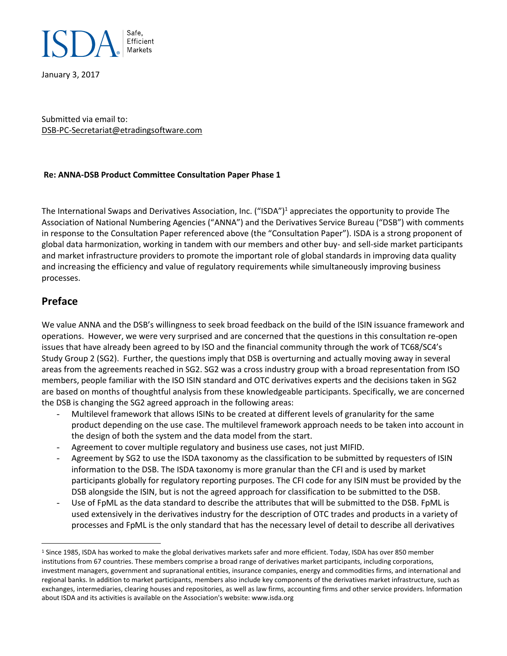

January 3, 2017

Submitted via email to: DSB-PC-Secretariat@etradingsoftware.com

#### **Re: ANNA-DSB Product Committee Consultation Paper Phase 1**

The International Swaps and Derivatives Association, Inc. ("ISDA")<sup>1</sup> appreciates the opportunity to provide The Association of National Numbering Agencies ("ANNA") and the Derivatives Service Bureau ("DSB") with comments in response to the Consultation Paper referenced above (the "Consultation Paper"). ISDA is a strong proponent of global data harmonization, working in tandem with our members and other buy- and sell-side market participants and market infrastructure providers to promote the important role of global standards in improving data quality and increasing the efficiency and value of regulatory requirements while simultaneously improving business processes.

#### **Preface**

 $\overline{a}$ 

We value ANNA and the DSB's willingness to seek broad feedback on the build of the ISIN issuance framework and operations. However, we were very surprised and are concerned that the questions in this consultation re-open issues that have already been agreed to by ISO and the financial community through the work of TC68/SC4's Study Group 2 (SG2). Further, the questions imply that DSB is overturning and actually moving away in several areas from the agreements reached in SG2. SG2 was a cross industry group with a broad representation from ISO members, people familiar with the ISO ISIN standard and OTC derivatives experts and the decisions taken in SG2 are based on months of thoughtful analysis from these knowledgeable participants. Specifically, we are concerned the DSB is changing the SG2 agreed approach in the following areas:

- Multilevel framework that allows ISINs to be created at different levels of granularity for the same product depending on the use case. The multilevel framework approach needs to be taken into account in the design of both the system and the data model from the start.
- Agreement to cover multiple regulatory and business use cases, not just MIFID.
- Agreement by SG2 to use the ISDA taxonomy as the classification to be submitted by requesters of ISIN information to the DSB. The ISDA taxonomy is more granular than the CFI and is used by market participants globally for regulatory reporting purposes. The CFI code for any ISIN must be provided by the DSB alongside the ISIN, but is not the agreed approach for classification to be submitted to the DSB.
- Use of FpML as the data standard to describe the attributes that will be submitted to the DSB. FpML is used extensively in the derivatives industry for the description of OTC trades and products in a variety of processes and FpML is the only standard that has the necessary level of detail to describe all derivatives

<sup>&</sup>lt;sup>1</sup> Since 1985, ISDA has worked to make the global derivatives markets safer and more efficient. Today, ISDA has over 850 member institutions from 67 countries. These members comprise a broad range of derivatives market participants, including corporations, investment managers, government and supranational entities, insurance companies, energy and commodities firms, and international and regional banks. In addition to market participants, members also include key components of the derivatives market infrastructure, such as exchanges, intermediaries, clearing houses and repositories, as well as law firms, accounting firms and other service providers. Information about ISDA and its activities is available on the Association's website: www.isda.org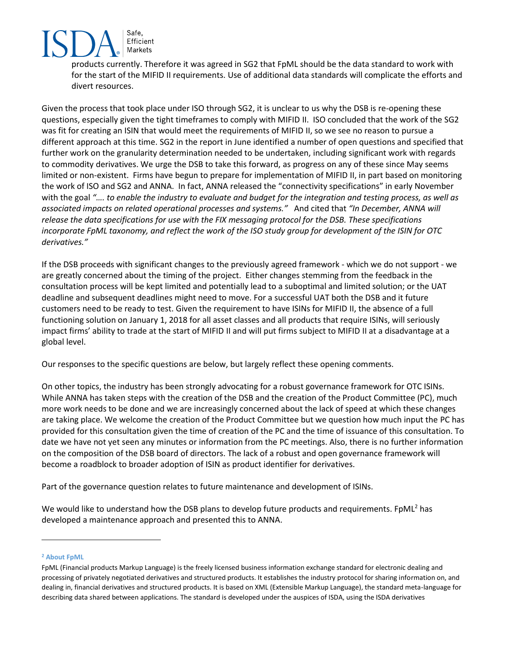Safe, Efficient Markets

products currently. Therefore it was agreed in SG2 that FpML should be the data standard to work with for the start of the MIFID II requirements. Use of additional data standards will complicate the efforts and divert resources.

Given the process that took place under ISO through SG2, it is unclear to us why the DSB is re-opening these questions, especially given the tight timeframes to comply with MIFID II. ISO concluded that the work of the SG2 was fit for creating an ISIN that would meet the requirements of MIFID II, so we see no reason to pursue a different approach at this time. SG2 in the report in June identified a number of open questions and specified that further work on the granularity determination needed to be undertaken, including significant work with regards to commodity derivatives. We urge the DSB to take this forward, as progress on any of these since May seems limited or non-existent. Firms have begun to prepare for implementation of MIFID II, in part based on monitoring the work of ISO and SG2 and ANNA. In fact, ANNA released the "connectivity specifications" in early November with the goal *"…. to enable the industry to evaluate and budget for the integration and testing process, as well as associated impacts on related operational processes and systems."* And cited that *"In December, ANNA will release the data specifications for use with the FIX messaging protocol for the DSB. These specifications incorporate FpML taxonomy, and reflect the work of the ISO study group for development of the ISIN for OTC derivatives."*

If the DSB proceeds with significant changes to the previously agreed framework - which we do not support - we are greatly concerned about the timing of the project. Either changes stemming from the feedback in the consultation process will be kept limited and potentially lead to a suboptimal and limited solution; or the UAT deadline and subsequent deadlines might need to move. For a successful UAT both the DSB and it future customers need to be ready to test. Given the requirement to have ISINs for MIFID II, the absence of a full functioning solution on January 1, 2018 for all asset classes and all products that require ISINs, will seriously impact firms' ability to trade at the start of MIFID II and will put firms subject to MIFID II at a disadvantage at a global level.

Our responses to the specific questions are below, but largely reflect these opening comments.

On other topics, the industry has been strongly advocating for a robust governance framework for OTC ISINs. While ANNA has taken steps with the creation of the DSB and the creation of the Product Committee (PC), much more work needs to be done and we are increasingly concerned about the lack of speed at which these changes are taking place. We welcome the creation of the Product Committee but we question how much input the PC has provided for this consultation given the time of creation of the PC and the time of issuance of this consultation. To date we have not yet seen any minutes or information from the PC meetings. Also, there is no further information on the composition of the DSB board of directors. The lack of a robust and open governance framework will become a roadblock to broader adoption of ISIN as product identifier for derivatives.

Part of the governance question relates to future maintenance and development of ISINs.

We would like to understand how the DSB plans to develop future products and requirements. FpML<sup>2</sup> has developed a maintenance approach and presented this to ANNA.

#### **<sup>2</sup> About FpML**

 $\overline{a}$ 

FpML (Financial products Markup Language) is the freely licensed business information exchange standard for electronic dealing and processing of privately negotiated derivatives and structured products. It establishes the industry protocol for sharing information on, and dealing in, financial derivatives and structured products. It is based on XML (Extensible Markup Language), the standard meta-language for describing data shared between applications. The standard is developed under the auspices of ISDA, using the ISDA derivatives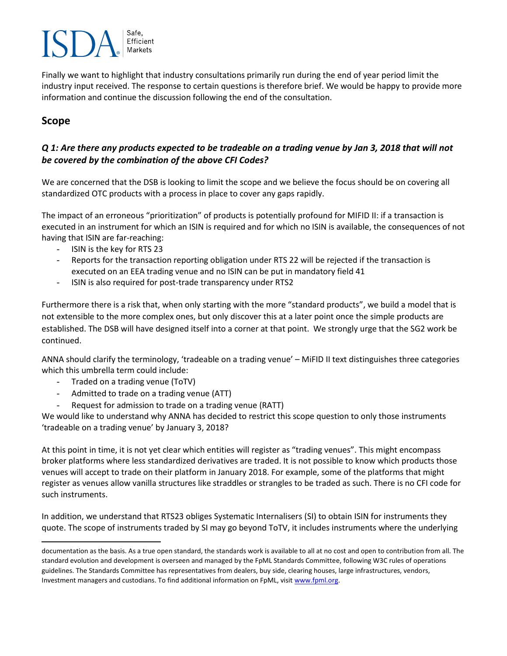# Efficient Markets

Finally we want to highlight that industry consultations primarily run during the end of year period limit the industry input received. The response to certain questions is therefore brief. We would be happy to provide more information and continue the discussion following the end of the consultation.

# **Scope**

 $\overline{a}$ 

#### *Q 1: Are there any products expected to be tradeable on a trading venue by Jan 3, 2018 that will not be covered by the combination of the above CFI Codes?*

We are concerned that the DSB is looking to limit the scope and we believe the focus should be on covering all standardized OTC products with a process in place to cover any gaps rapidly.

The impact of an erroneous "prioritization" of products is potentially profound for MIFID II: if a transaction is executed in an instrument for which an ISIN is required and for which no ISIN is available, the consequences of not having that ISIN are far-reaching:

- ISIN is the key for RTS 23
- Reports for the transaction reporting obligation under RTS 22 will be rejected if the transaction is executed on an EEA trading venue and no ISIN can be put in mandatory field 41
- ISIN is also required for post-trade transparency under RTS2

Furthermore there is a risk that, when only starting with the more "standard products", we build a model that is not extensible to the more complex ones, but only discover this at a later point once the simple products are established. The DSB will have designed itself into a corner at that point. We strongly urge that the SG2 work be continued.

ANNA should clarify the terminology, 'tradeable on a trading venue' – MiFID II text distinguishes three categories which this umbrella term could include:

- Traded on a trading venue (ToTV)
- Admitted to trade on a trading venue (ATT)
- Request for admission to trade on a trading venue (RATT)

We would like to understand why ANNA has decided to restrict this scope question to only those instruments 'tradeable on a trading venue' by January 3, 2018?

At this point in time, it is not yet clear which entities will register as "trading venues". This might encompass broker platforms where less standardized derivatives are traded. It is not possible to know which products those venues will accept to trade on their platform in January 2018. For example, some of the platforms that might register as venues allow vanilla structures like straddles or strangles to be traded as such. There is no CFI code for such instruments.

In addition, we understand that RTS23 obliges Systematic Internalisers (SI) to obtain ISIN for instruments they quote. The scope of instruments traded by SI may go beyond ToTV, it includes instruments where the underlying

documentation as the basis. As a true open standard, the standards work is available to all at no cost and open to contribution from all. The standard evolution and development is overseen and managed by the FpML Standards Committee, following W3C rules of operations guidelines. The Standards Committee has representatives from dealers, buy side, clearing houses, large infrastructures, vendors, Investment managers and custodians. To find additional information on FpML, visit [www.fpml.org.](http://www.fpml.org/)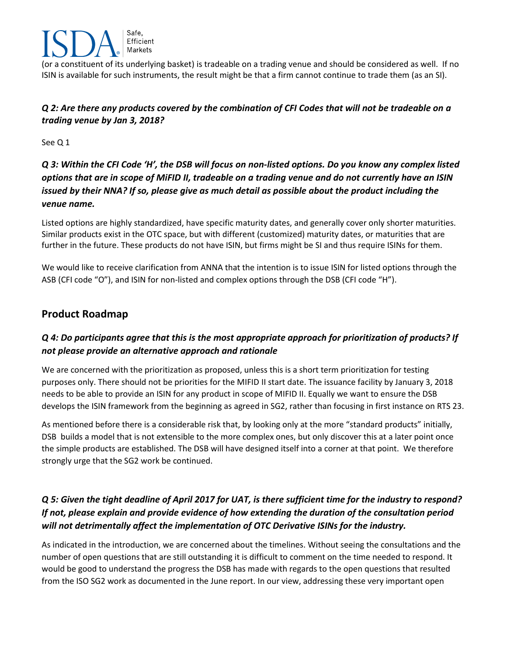

(or a constituent of its underlying basket) is tradeable on a trading venue and should be considered as well. If no ISIN is available for such instruments, the result might be that a firm cannot continue to trade them (as an SI).

#### *Q 2: Are there any products covered by the combination of CFI Codes that will not be tradeable on a trading venue by Jan 3, 2018?*

See Q 1

*Q 3: Within the CFI Code 'H', the DSB will focus on non-listed options. Do you know any complex listed options that are in scope of MiFID II, tradeable on a trading venue and do not currently have an ISIN issued by their NNA? If so, please give as much detail as possible about the product including the venue name.*

Listed options are highly standardized, have specific maturity dates, and generally cover only shorter maturities. Similar products exist in the OTC space, but with different (customized) maturity dates, or maturities that are further in the future. These products do not have ISIN, but firms might be SI and thus require ISINs for them.

We would like to receive clarification from ANNA that the intention is to issue ISIN for listed options through the ASB (CFI code "O"), and ISIN for non-listed and complex options through the DSB (CFI code "H").

# **Product Roadmap**

# *Q 4: Do participants agree that this is the most appropriate approach for prioritization of products? If not please provide an alternative approach and rationale*

We are concerned with the prioritization as proposed, unless this is a short term prioritization for testing purposes only. There should not be priorities for the MIFID II start date. The issuance facility by January 3, 2018 needs to be able to provide an ISIN for any product in scope of MIFID II. Equally we want to ensure the DSB develops the ISIN framework from the beginning as agreed in SG2, rather than focusing in first instance on RTS 23.

As mentioned before there is a considerable risk that, by looking only at the more "standard products" initially, DSB builds a model that is not extensible to the more complex ones, but only discover this at a later point once the simple products are established. The DSB will have designed itself into a corner at that point. We therefore strongly urge that the SG2 work be continued.

# *Q 5: Given the tight deadline of April 2017 for UAT, is there sufficient time for the industry to respond? If not, please explain and provide evidence of how extending the duration of the consultation period will not detrimentally affect the implementation of OTC Derivative ISINs for the industry.*

As indicated in the introduction, we are concerned about the timelines. Without seeing the consultations and the number of open questions that are still outstanding it is difficult to comment on the time needed to respond. It would be good to understand the progress the DSB has made with regards to the open questions that resulted from the ISO SG2 work as documented in the June report. In our view, addressing these very important open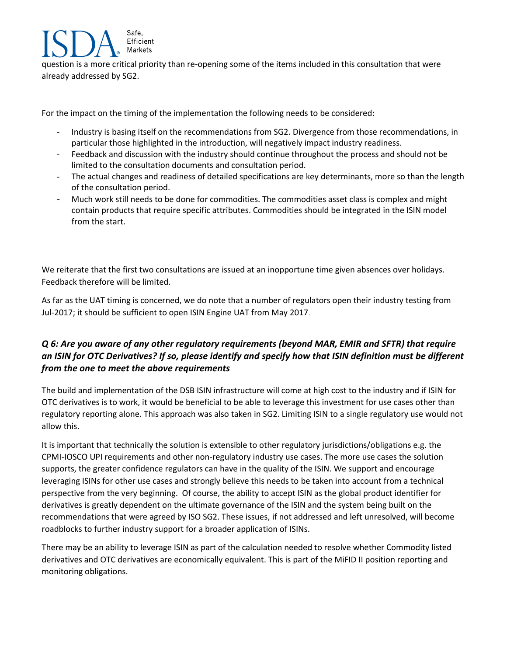question is a more critical priority than re-opening some of the items included in this consultation that were already addressed by SG2.

For the impact on the timing of the implementation the following needs to be considered:

Safe, Efficient Markets

- Industry is basing itself on the recommendations from SG2. Divergence from those recommendations, in particular those highlighted in the introduction, will negatively impact industry readiness.
- Feedback and discussion with the industry should continue throughout the process and should not be limited to the consultation documents and consultation period.
- The actual changes and readiness of detailed specifications are key determinants, more so than the length of the consultation period.
- Much work still needs to be done for commodities. The commodities asset class is complex and might contain products that require specific attributes. Commodities should be integrated in the ISIN model from the start.

We reiterate that the first two consultations are issued at an inopportune time given absences over holidays. Feedback therefore will be limited.

As far as the UAT timing is concerned, we do note that a number of regulators open their industry testing from Jul-2017; it should be sufficient to open ISIN Engine UAT from May 2017.

#### *Q 6: Are you aware of any other regulatory requirements (beyond MAR, EMIR and SFTR) that require an ISIN for OTC Derivatives? If so, please identify and specify how that ISIN definition must be different from the one to meet the above requirements*

The build and implementation of the DSB ISIN infrastructure will come at high cost to the industry and if ISIN for OTC derivatives is to work, it would be beneficial to be able to leverage this investment for use cases other than regulatory reporting alone. This approach was also taken in SG2. Limiting ISIN to a single regulatory use would not allow this.

It is important that technically the solution is extensible to other regulatory jurisdictions/obligations e.g. the CPMI-IOSCO UPI requirements and other non-regulatory industry use cases. The more use cases the solution supports, the greater confidence regulators can have in the quality of the ISIN. We support and encourage leveraging ISINs for other use cases and strongly believe this needs to be taken into account from a technical perspective from the very beginning. Of course, the ability to accept ISIN as the global product identifier for derivatives is greatly dependent on the ultimate governance of the ISIN and the system being built on the recommendations that were agreed by ISO SG2. These issues, if not addressed and left unresolved, will become roadblocks to further industry support for a broader application of ISINs.

There may be an ability to leverage ISIN as part of the calculation needed to resolve whether Commodity listed derivatives and OTC derivatives are economically equivalent. This is part of the MiFID II position reporting and monitoring obligations.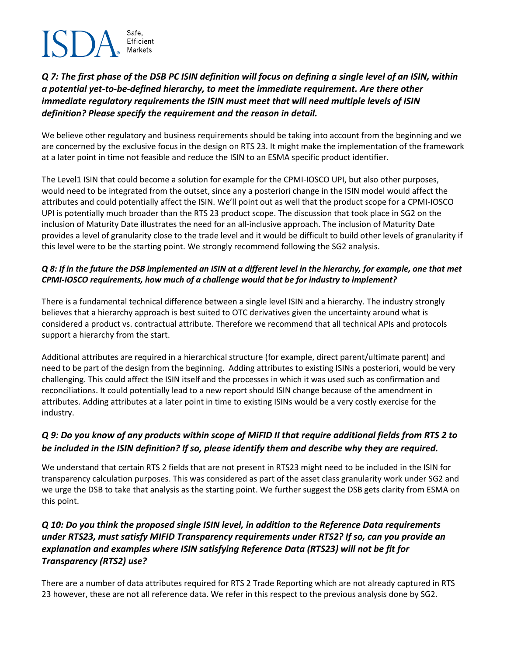# Efficient

#### *Q 7: The first phase of the DSB PC ISIN definition will focus on defining a single level of an ISIN, within a potential yet-to-be-defined hierarchy, to meet the immediate requirement. Are there other immediate regulatory requirements the ISIN must meet that will need multiple levels of ISIN definition? Please specify the requirement and the reason in detail.*

We believe other regulatory and business requirements should be taking into account from the beginning and we are concerned by the exclusive focus in the design on RTS 23. It might make the implementation of the framework at a later point in time not feasible and reduce the ISIN to an ESMA specific product identifier.

The Level1 ISIN that could become a solution for example for the CPMI-IOSCO UPI, but also other purposes, would need to be integrated from the outset, since any a posteriori change in the ISIN model would affect the attributes and could potentially affect the ISIN. We'll point out as well that the product scope for a CPMI-IOSCO UPI is potentially much broader than the RTS 23 product scope. The discussion that took place in SG2 on the inclusion of Maturity Date illustrates the need for an all-inclusive approach. The inclusion of Maturity Date provides a level of granularity close to the trade level and it would be difficult to build other levels of granularity if this level were to be the starting point. We strongly recommend following the SG2 analysis.

#### *Q 8: If in the future the DSB implemented an ISIN at a different level in the hierarchy, for example, one that met CPMI-IOSCO requirements, how much of a challenge would that be for industry to implement?*

There is a fundamental technical difference between a single level ISIN and a hierarchy. The industry strongly believes that a hierarchy approach is best suited to OTC derivatives given the uncertainty around what is considered a product vs. contractual attribute. Therefore we recommend that all technical APIs and protocols support a hierarchy from the start.

Additional attributes are required in a hierarchical structure (for example, direct parent/ultimate parent) and need to be part of the design from the beginning. Adding attributes to existing ISINs a posteriori, would be very challenging. This could affect the ISIN itself and the processes in which it was used such as confirmation and reconciliations. It could potentially lead to a new report should ISIN change because of the amendment in attributes. Adding attributes at a later point in time to existing ISINs would be a very costly exercise for the industry.

# *Q 9: Do you know of any products within scope of MiFID II that require additional fields from RTS 2 to be included in the ISIN definition? If so, please identify them and describe why they are required.*

We understand that certain RTS 2 fields that are not present in RTS23 might need to be included in the ISIN for transparency calculation purposes. This was considered as part of the asset class granularity work under SG2 and we urge the DSB to take that analysis as the starting point. We further suggest the DSB gets clarity from ESMA on this point.

#### *Q 10: Do you think the proposed single ISIN level, in addition to the Reference Data requirements under RTS23, must satisfy MIFID Transparency requirements under RTS2? If so, can you provide an explanation and examples where ISIN satisfying Reference Data (RTS23) will not be fit for Transparency (RTS2) use?*

There are a number of data attributes required for RTS 2 Trade Reporting which are not already captured in RTS 23 however, these are not all reference data. We refer in this respect to the previous analysis done by SG2.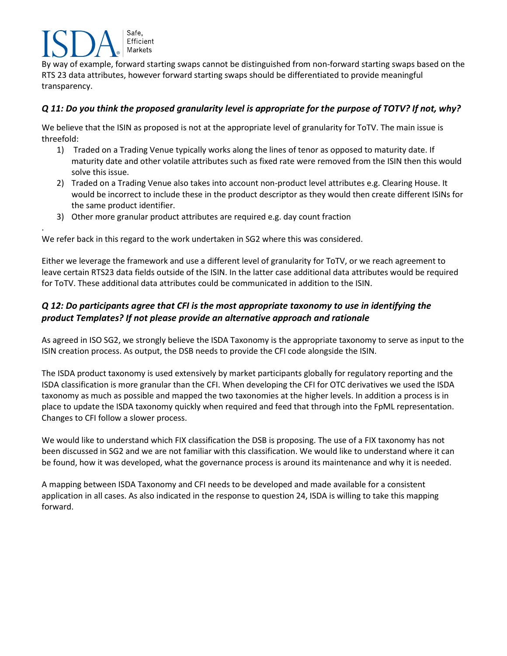## Safe, Efficient Markets

.

By way of example, forward starting swaps cannot be distinguished from non-forward starting swaps based on the RTS 23 data attributes, however forward starting swaps should be differentiated to provide meaningful transparency.

#### *Q 11: Do you think the proposed granularity level is appropriate for the purpose of TOTV? If not, why?*

We believe that the ISIN as proposed is not at the appropriate level of granularity for ToTV. The main issue is threefold:

- 1) Traded on a Trading Venue typically works along the lines of tenor as opposed to maturity date. If maturity date and other volatile attributes such as fixed rate were removed from the ISIN then this would solve this issue.
- 2) Traded on a Trading Venue also takes into account non-product level attributes e.g. Clearing House. It would be incorrect to include these in the product descriptor as they would then create different ISINs for the same product identifier.
- 3) Other more granular product attributes are required e.g. day count fraction

We refer back in this regard to the work undertaken in SG2 where this was considered.

Either we leverage the framework and use a different level of granularity for ToTV, or we reach agreement to leave certain RTS23 data fields outside of the ISIN. In the latter case additional data attributes would be required for ToTV. These additional data attributes could be communicated in addition to the ISIN.

#### *Q 12: Do participants agree that CFI is the most appropriate taxonomy to use in identifying the product Templates? If not please provide an alternative approach and rationale*

As agreed in ISO SG2, we strongly believe the ISDA Taxonomy is the appropriate taxonomy to serve as input to the ISIN creation process. As output, the DSB needs to provide the CFI code alongside the ISIN.

The ISDA product taxonomy is used extensively by market participants globally for regulatory reporting and the ISDA classification is more granular than the CFI. When developing the CFI for OTC derivatives we used the ISDA taxonomy as much as possible and mapped the two taxonomies at the higher levels. In addition a process is in place to update the ISDA taxonomy quickly when required and feed that through into the FpML representation. Changes to CFI follow a slower process.

We would like to understand which FIX classification the DSB is proposing. The use of a FIX taxonomy has not been discussed in SG2 and we are not familiar with this classification. We would like to understand where it can be found, how it was developed, what the governance process is around its maintenance and why it is needed.

A mapping between ISDA Taxonomy and CFI needs to be developed and made available for a consistent application in all cases. As also indicated in the response to question 24, ISDA is willing to take this mapping forward.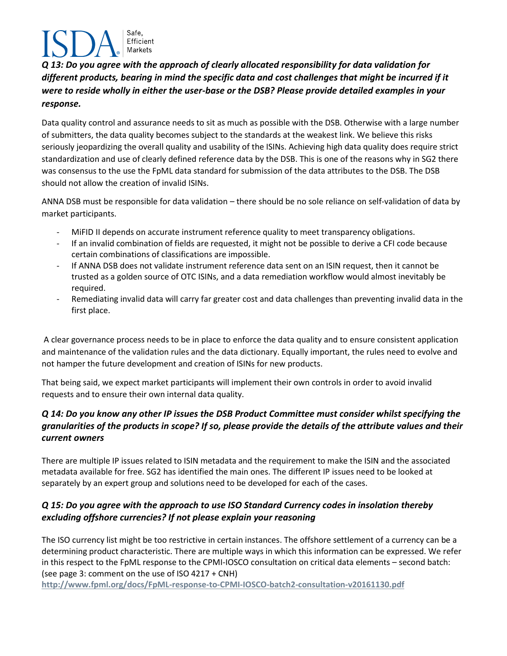# Safe. Efficient Markets

*Q 13: Do you agree with the approach of clearly allocated responsibility for data validation for different products, bearing in mind the specific data and cost challenges that might be incurred if it were to reside wholly in either the user-base or the DSB? Please provide detailed examples in your response.*

Data quality control and assurance needs to sit as much as possible with the DSB. Otherwise with a large number of submitters, the data quality becomes subject to the standards at the weakest link. We believe this risks seriously jeopardizing the overall quality and usability of the ISINs. Achieving high data quality does require strict standardization and use of clearly defined reference data by the DSB. This is one of the reasons why in SG2 there was consensus to the use the FpML data standard for submission of the data attributes to the DSB. The DSB should not allow the creation of invalid ISINs.

ANNA DSB must be responsible for data validation – there should be no sole reliance on self-validation of data by market participants.

- MIFID II depends on accurate instrument reference quality to meet transparency obligations.
- If an invalid combination of fields are requested, it might not be possible to derive a CFI code because certain combinations of classifications are impossible.
- If ANNA DSB does not validate instrument reference data sent on an ISIN request, then it cannot be trusted as a golden source of OTC ISINs, and a data remediation workflow would almost inevitably be required.
- Remediating invalid data will carry far greater cost and data challenges than preventing invalid data in the first place.

A clear governance process needs to be in place to enforce the data quality and to ensure consistent application and maintenance of the validation rules and the data dictionary. Equally important, the rules need to evolve and not hamper the future development and creation of ISINs for new products.

That being said, we expect market participants will implement their own controls in order to avoid invalid requests and to ensure their own internal data quality.

#### *Q 14: Do you know any other IP issues the DSB Product Committee must consider whilst specifying the granularities of the products in scope? If so, please provide the details of the attribute values and their current owners*

There are multiple IP issues related to ISIN metadata and the requirement to make the ISIN and the associated metadata available for free. SG2 has identified the main ones. The different IP issues need to be looked at separately by an expert group and solutions need to be developed for each of the cases.

#### *Q 15: Do you agree with the approach to use ISO Standard Currency codes in insolation thereby excluding offshore currencies? If not please explain your reasoning*

The ISO currency list might be too restrictive in certain instances. The offshore settlement of a currency can be a determining product characteristic. There are multiple ways in which this information can be expressed. We refer in this respect to the FpML response to the CPMI-IOSCO consultation on critical data elements – second batch: (see page 3: comment on the use of ISO 4217 + CNH)

**<http://www.fpml.org/docs/FpML-response-to-CPMI-IOSCO-batch2-consultation-v20161130.pdf>**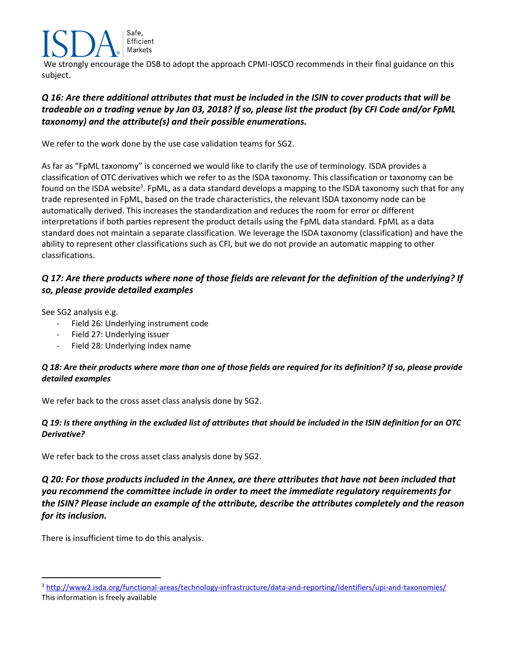Safe, Efficient Markets

We strongly encourage the DSB to adopt the approach CPMI-IOSCO recommends in their final guidance on this subject.

#### *Q 16: Are there additional attributes that must be included in the ISIN to cover products that will be tradeable on a trading venue by Jan 03, 2018? If so, please list the product (by CFI Code and/or FpML taxonomy) and the attribute(s) and their possible enumerations.*

We refer to the work done by the use case validation teams for SG2.

As far as "FpML taxonomy" is concerned we would like to clarify the use of terminology. ISDA provides a classification of OTC derivatives which we refer to as the ISDA taxonomy. This classification or taxonomy can be found on the ISDA website<sup>3</sup>. FpML, as a data standard develops a mapping to the ISDA taxonomy such that for any trade represented in FpML, based on the trade characteristics, the relevant ISDA taxonomy node can be automatically derived. This increases the standardization and reduces the room for error or different interpretations if both parties represent the product details using the FpML data standard. FpML as a data standard does not maintain a separate classification. We leverage the ISDA taxonomy (classification) and have the ability to represent other classifications such as CFI, but we do not provide an automatic mapping to other classifications.

#### *Q 17: Are there products where none of those fields are relevant for the definition of the underlying? If so, please provide detailed examples*

See SG2 analysis e.g.

- Field 26: Underlying instrument code
- Field 27: Underlying issuer
- Field 28: Underlying index name

#### *Q 18: Are their products where more than one of those fields are required for its definition? If so, please provide detailed examples*

We refer back to the cross asset class analysis done by SG2.

#### *Q 19: Is there anything in the excluded list of attributes that should be included in the ISIN definition for an OTC Derivative?*

We refer back to the cross asset class analysis done by SG2.

*Q 20: For those products included in the Annex, are there attributes that have not been included that you recommend the committee include in order to meet the immediate regulatory requirements for the ISIN? Please include an example of the attribute, describe the attributes completely and the reason for its inclusion.* 

There is insufficient time to do this analysis.

 $\overline{a}$ 

<sup>3</sup> <http://www2.isda.org/functional-areas/technology-infrastructure/data-and-reporting/identifiers/upi-and-taxonomies/> This information is freely available